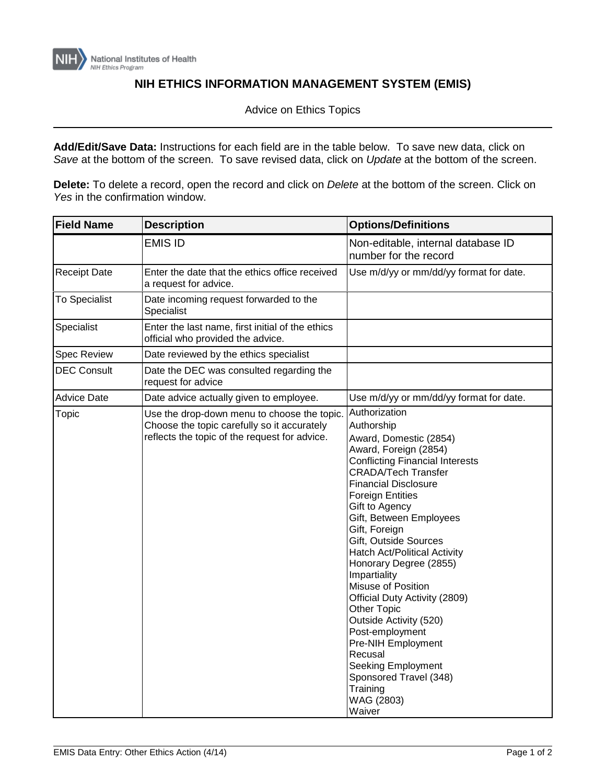

## **NIH ETHICS INFORMATION MANAGEMENT SYSTEM (EMIS)**

Advice on Ethics Topics

**Add/Edit/Save Data:** Instructions for each field are in the table below. To save new data, click on *Save* at the bottom of the screen. To save revised data, click on *Update* at the bottom of the screen.

**Delete:** To delete a record, open the record and click on *Delete* at the bottom of the screen. Click on *Yes* in the confirmation window.

| <b>Field Name</b>    | <b>Description</b>                                                                                                                          | <b>Options/Definitions</b>                                                                                                                                                                                                                                                                                                                                                                                                                                                                                                                                                                                                                     |
|----------------------|---------------------------------------------------------------------------------------------------------------------------------------------|------------------------------------------------------------------------------------------------------------------------------------------------------------------------------------------------------------------------------------------------------------------------------------------------------------------------------------------------------------------------------------------------------------------------------------------------------------------------------------------------------------------------------------------------------------------------------------------------------------------------------------------------|
|                      | <b>EMIS ID</b>                                                                                                                              | Non-editable, internal database ID<br>number for the record                                                                                                                                                                                                                                                                                                                                                                                                                                                                                                                                                                                    |
| <b>Receipt Date</b>  | Enter the date that the ethics office received<br>a request for advice.                                                                     | Use m/d/yy or mm/dd/yy format for date.                                                                                                                                                                                                                                                                                                                                                                                                                                                                                                                                                                                                        |
| <b>To Specialist</b> | Date incoming request forwarded to the<br>Specialist                                                                                        |                                                                                                                                                                                                                                                                                                                                                                                                                                                                                                                                                                                                                                                |
| Specialist           | Enter the last name, first initial of the ethics<br>official who provided the advice.                                                       |                                                                                                                                                                                                                                                                                                                                                                                                                                                                                                                                                                                                                                                |
| <b>Spec Review</b>   | Date reviewed by the ethics specialist                                                                                                      |                                                                                                                                                                                                                                                                                                                                                                                                                                                                                                                                                                                                                                                |
| <b>DEC Consult</b>   | Date the DEC was consulted regarding the<br>request for advice                                                                              |                                                                                                                                                                                                                                                                                                                                                                                                                                                                                                                                                                                                                                                |
| <b>Advice Date</b>   | Date advice actually given to employee.                                                                                                     | Use m/d/yy or mm/dd/yy format for date.                                                                                                                                                                                                                                                                                                                                                                                                                                                                                                                                                                                                        |
| Topic                | Use the drop-down menu to choose the topic.<br>Choose the topic carefully so it accurately<br>reflects the topic of the request for advice. | Authorization<br>Authorship<br>Award, Domestic (2854)<br>Award, Foreign (2854)<br><b>Conflicting Financial Interests</b><br><b>CRADA/Tech Transfer</b><br><b>Financial Disclosure</b><br><b>Foreign Entities</b><br>Gift to Agency<br>Gift, Between Employees<br>Gift, Foreign<br>Gift, Outside Sources<br><b>Hatch Act/Political Activity</b><br>Honorary Degree (2855)<br>Impartiality<br>Misuse of Position<br>Official Duty Activity (2809)<br><b>Other Topic</b><br>Outside Activity (520)<br>Post-employment<br>Pre-NIH Employment<br>Recusal<br><b>Seeking Employment</b><br>Sponsored Travel (348)<br>Training<br>WAG (2803)<br>Waiver |